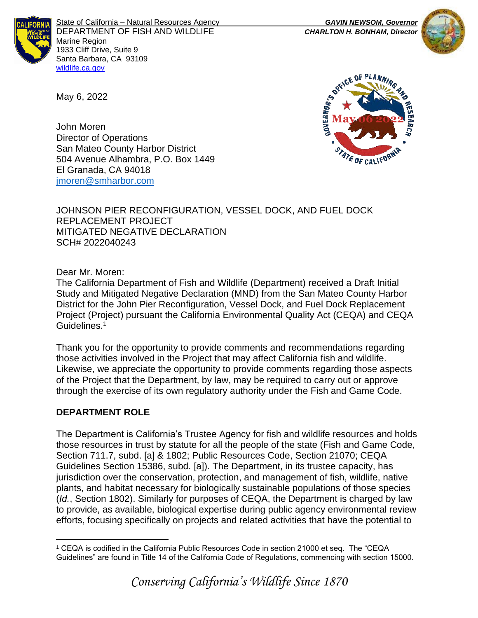

State of California – Natural Resources Agency *GAVIN NEWSOM, Governor* DEPARTMENT OF FISH AND WILDLIFE *CHARLTON H. BONHAM, Director*  Marine Region 1933 Cliff Drive, Suite 9 Santa Barbara, CA 93109 [wildlife.ca.gov](http://www.wildlife.ca.gov/)





John Moren Director of Operations San Mateo County Harbor District 504 Avenue Alhambra, P.O. Box 1449 El Granada, CA 94018 [jmoren@smharbor.com](mailto:jmoren@smharbor.com)

JOHNSON PIER RECONFIGURATION, VESSEL DOCK, AND FUEL DOCK REPLACEMENT PROJECT MITIGATED NEGATIVE DECLARATION SCH# 2022040243

Dear Mr. Moren:

May 6, 2022

The California Department of Fish and Wildlife (Department) received a Draft Initial Study and Mitigated Negative Declaration (MND) from the San Mateo County Harbor District for the John Pier Reconfiguration, Vessel Dock, and Fuel Dock Replacement Project (Project) pursuant the California Environmental Quality Act (CEQA) and CEQA Guidelines.<sup>1</sup>

Thank you for the opportunity to provide comments and recommendations regarding those activities involved in the Project that may affect California fish and wildlife. Likewise, we appreciate the opportunity to provide comments regarding those aspects of the Project that the Department, by law, may be required to carry out or approve through the exercise of its own regulatory authority under the Fish and Game Code.

# **DEPARTMENT ROLE**

The Department is California's Trustee Agency for fish and wildlife resources and holds those resources in trust by statute for all the people of the state (Fish and Game Code, Section 711.7, subd. [a] & 1802; Public Resources Code, Section 21070; CEQA Guidelines Section 15386, subd. [a]). The Department, in its trustee capacity, has jurisdiction over the conservation, protection, and management of fish, wildlife, native plants, and habitat necessary for biologically sustainable populations of those species (*Id.*, Section 1802). Similarly for purposes of CEQA, the Department is charged by law to provide, as available, biological expertise during public agency environmental review efforts, focusing specifically on projects and related activities that have the potential to

<sup>1</sup> CEQA is codified in the California Public Resources Code in section 21000 et seq. The "CEQA Guidelines" are found in Title 14 of the California Code of Regulations, commencing with section 15000.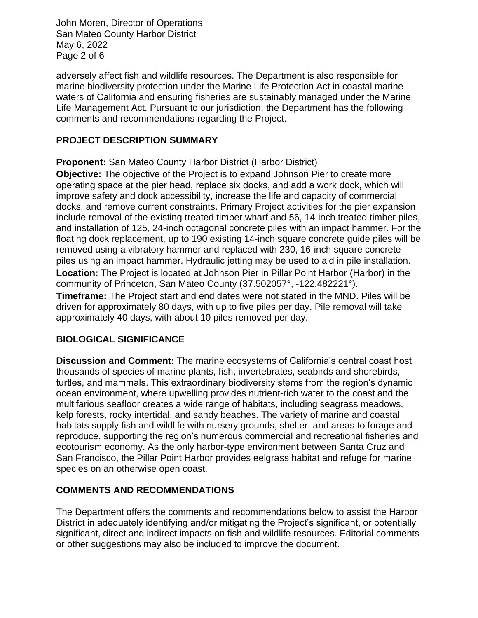John Moren, Director of Operations San Mateo County Harbor District May 6, 2022 Page 2 of 6

adversely affect fish and wildlife resources. The Department is also responsible for marine biodiversity protection under the Marine Life Protection Act in coastal marine waters of California and ensuring fisheries are sustainably managed under the Marine Life Management Act. Pursuant to our jurisdiction, the Department has the following comments and recommendations regarding the Project.

# **PROJECT DESCRIPTION SUMMARY**

**Proponent:** San Mateo County Harbor District (Harbor District)

**Objective:** The objective of the Project is to expand Johnson Pier to create more operating space at the pier head, replace six docks, and add a work dock, which will improve safety and dock accessibility, increase the life and capacity of commercial docks, and remove current constraints. Primary Project activities for the pier expansion include removal of the existing treated timber wharf and 56, 14-inch treated timber piles, and installation of 125, 24-inch octagonal concrete piles with an impact hammer. For the floating dock replacement, up to 190 existing 14-inch square concrete guide piles will be removed using a vibratory hammer and replaced with 230, 16-inch square concrete piles using an impact hammer. Hydraulic jetting may be used to aid in pile installation. **Location:** The Project is located at Johnson Pier in Pillar Point Harbor (Harbor) in the community of Princeton, San Mateo County (37.502057°, -122.482221°).

**Timeframe:** The Project start and end dates were not stated in the MND. Piles will be driven for approximately 80 days, with up to five piles per day. Pile removal will take approximately 40 days, with about 10 piles removed per day.

# **BIOLOGICAL SIGNIFICANCE**

**Discussion and Comment:** The marine ecosystems of California's central coast host thousands of species of marine plants, fish, invertebrates, seabirds and shorebirds, turtles, and mammals. This extraordinary biodiversity stems from the region's dynamic ocean environment, where upwelling provides nutrient-rich water to the coast and the multifarious seafloor creates a wide range of habitats, including seagrass meadows, kelp forests, rocky intertidal, and sandy beaches. The variety of marine and coastal habitats supply fish and wildlife with nursery grounds, shelter, and areas to forage and reproduce, supporting the region's numerous commercial and recreational fisheries and ecotourism economy. As the only harbor-type environment between Santa Cruz and San Francisco, the Pillar Point Harbor provides eelgrass habitat and refuge for marine species on an otherwise open coast.

### **COMMENTS AND RECOMMENDATIONS**

The Department offers the comments and recommendations below to assist the Harbor District in adequately identifying and/or mitigating the Project's significant, or potentially significant, direct and indirect impacts on fish and wildlife resources. Editorial comments or other suggestions may also be included to improve the document.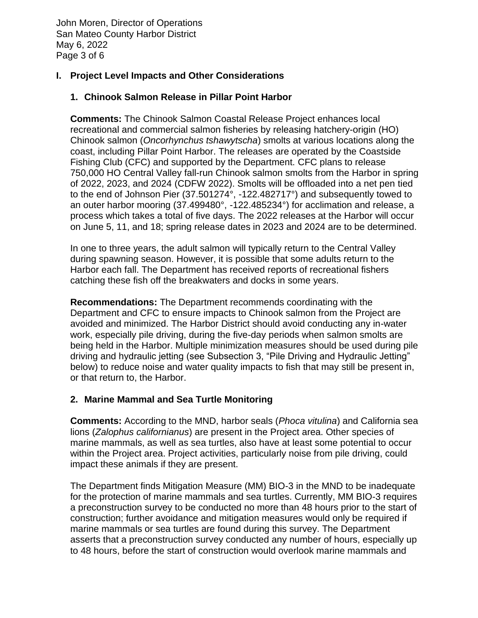John Moren, Director of Operations San Mateo County Harbor District May 6, 2022 Page 3 of 6

## **I. Project Level Impacts and Other Considerations**

## **1. Chinook Salmon Release in Pillar Point Harbor**

**Comments:** The Chinook Salmon Coastal Release Project enhances local recreational and commercial salmon fisheries by releasing hatchery-origin (HO) Chinook salmon (*Oncorhynchus tshawytscha*) smolts at various locations along the coast, including Pillar Point Harbor. The releases are operated by the Coastside Fishing Club (CFC) and supported by the Department. CFC plans to release 750,000 HO Central Valley fall-run Chinook salmon smolts from the Harbor in spring of 2022, 2023, and 2024 (CDFW 2022). Smolts will be offloaded into a net pen tied to the end of Johnson Pier (37.501274°, -122.482717°) and subsequently towed to an outer harbor mooring (37.499480°, -122.485234°) for acclimation and release, a process which takes a total of five days. The 2022 releases at the Harbor will occur on June 5, 11, and 18; spring release dates in 2023 and 2024 are to be determined.

In one to three years, the adult salmon will typically return to the Central Valley during spawning season. However, it is possible that some adults return to the Harbor each fall. The Department has received reports of recreational fishers catching these fish off the breakwaters and docks in some years.

**Recommendations:** The Department recommends coordinating with the Department and CFC to ensure impacts to Chinook salmon from the Project are avoided and minimized. The Harbor District should avoid conducting any in-water work, especially pile driving, during the five-day periods when salmon smolts are being held in the Harbor. Multiple minimization measures should be used during pile driving and hydraulic jetting (see Subsection 3, "Pile Driving and Hydraulic Jetting" below) to reduce noise and water quality impacts to fish that may still be present in, or that return to, the Harbor.

### **2. Marine Mammal and Sea Turtle Monitoring**

**Comments:** According to the MND, harbor seals (*Phoca vitulina*) and California sea lions (*Zalophus californianus*) are present in the Project area. Other species of marine mammals, as well as sea turtles, also have at least some potential to occur within the Project area. Project activities, particularly noise from pile driving, could impact these animals if they are present.

The Department finds Mitigation Measure (MM) BIO-3 in the MND to be inadequate for the protection of marine mammals and sea turtles. Currently, MM BIO-3 requires a preconstruction survey to be conducted no more than 48 hours prior to the start of construction; further avoidance and mitigation measures would only be required if marine mammals or sea turtles are found during this survey. The Department asserts that a preconstruction survey conducted any number of hours, especially up to 48 hours, before the start of construction would overlook marine mammals and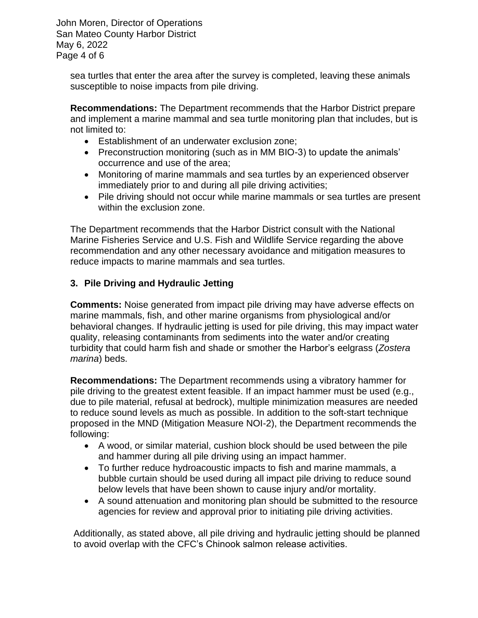John Moren, Director of Operations San Mateo County Harbor District May 6, 2022 Page 4 of 6

sea turtles that enter the area after the survey is completed, leaving these animals susceptible to noise impacts from pile driving.

**Recommendations:** The Department recommends that the Harbor District prepare and implement a marine mammal and sea turtle monitoring plan that includes, but is not limited to:

- Establishment of an underwater exclusion zone;
- Preconstruction monitoring (such as in MM BIO-3) to update the animals' occurrence and use of the area;
- Monitoring of marine mammals and sea turtles by an experienced observer immediately prior to and during all pile driving activities;
- Pile driving should not occur while marine mammals or sea turtles are present within the exclusion zone.

The Department recommends that the Harbor District consult with the National Marine Fisheries Service and U.S. Fish and Wildlife Service regarding the above recommendation and any other necessary avoidance and mitigation measures to reduce impacts to marine mammals and sea turtles.

# **3. Pile Driving and Hydraulic Jetting**

**Comments:** Noise generated from impact pile driving may have adverse effects on marine mammals, fish, and other marine organisms from physiological and/or behavioral changes. If hydraulic jetting is used for pile driving, this may impact water quality, releasing contaminants from sediments into the water and/or creating turbidity that could harm fish and shade or smother the Harbor's eelgrass (*Zostera marina*) beds.

**Recommendations:** The Department recommends using a vibratory hammer for pile driving to the greatest extent feasible. If an impact hammer must be used (e.g., due to pile material, refusal at bedrock), multiple minimization measures are needed to reduce sound levels as much as possible. In addition to the soft-start technique proposed in the MND (Mitigation Measure NOI-2), the Department recommends the following:

- A wood, or similar material, cushion block should be used between the pile and hammer during all pile driving using an impact hammer.
- To further reduce hydroacoustic impacts to fish and marine mammals, a bubble curtain should be used during all impact pile driving to reduce sound below levels that have been shown to cause injury and/or mortality.
- A sound attenuation and monitoring plan should be submitted to the resource agencies for review and approval prior to initiating pile driving activities.

Additionally, as stated above, all pile driving and hydraulic jetting should be planned to avoid overlap with the CFC's Chinook salmon release activities.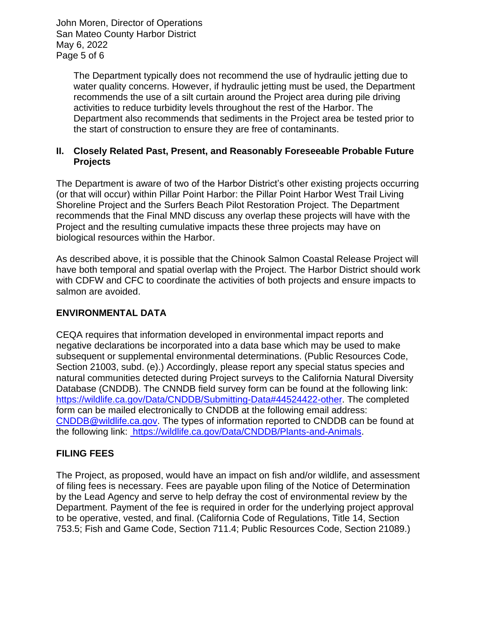John Moren, Director of Operations San Mateo County Harbor District May 6, 2022 Page 5 of 6

> The Department typically does not recommend the use of hydraulic jetting due to water quality concerns. However, if hydraulic jetting must be used, the Department recommends the use of a silt curtain around the Project area during pile driving activities to reduce turbidity levels throughout the rest of the Harbor. The Department also recommends that sediments in the Project area be tested prior to the start of construction to ensure they are free of contaminants.

## **II. Closely Related Past, Present, and Reasonably Foreseeable Probable Future Projects**

The Department is aware of two of the Harbor District's other existing projects occurring (or that will occur) within Pillar Point Harbor: the Pillar Point Harbor West Trail Living Shoreline Project and the Surfers Beach Pilot Restoration Project. The Department recommends that the Final MND discuss any overlap these projects will have with the Project and the resulting cumulative impacts these three projects may have on biological resources within the Harbor.

As described above, it is possible that the Chinook Salmon Coastal Release Project will have both temporal and spatial overlap with the Project. The Harbor District should work with CDFW and CFC to coordinate the activities of both projects and ensure impacts to salmon are avoided.

### **ENVIRONMENTAL DATA**

CEQA requires that information developed in environmental impact reports and negative declarations be incorporated into a data base which may be used to make subsequent or supplemental environmental determinations. (Public Resources Code, Section 21003, subd. (e).) Accordingly, please report any special status species and natural communities detected during Project surveys to the California Natural Diversity Database (CNDDB). The CNNDB field survey form can be found at the following link: https://wildlife.ca.gov/Data/CNDDB/Submitting-Data#44524422-other. The completed form can be mailed electronically to CNDDB at the following email address: [CNDDB@wildlife.ca.gov.](mailto:cnddb@dfg.ca.gov) The types of information reported to CNDDB can be found at the following link: https://wildlife.ca.gov/Data/CNDDB/Plants-and-Animals.

# **FILING FEES**

The Project, as proposed, would have an impact on fish and/or wildlife, and assessment of filing fees is necessary. Fees are payable upon filing of the Notice of Determination by the Lead Agency and serve to help defray the cost of environmental review by the Department. Payment of the fee is required in order for the underlying project approval to be operative, vested, and final. (California Code of Regulations, Title 14, Section 753.5; Fish and Game Code, Section 711.4; Public Resources Code, Section 21089.)